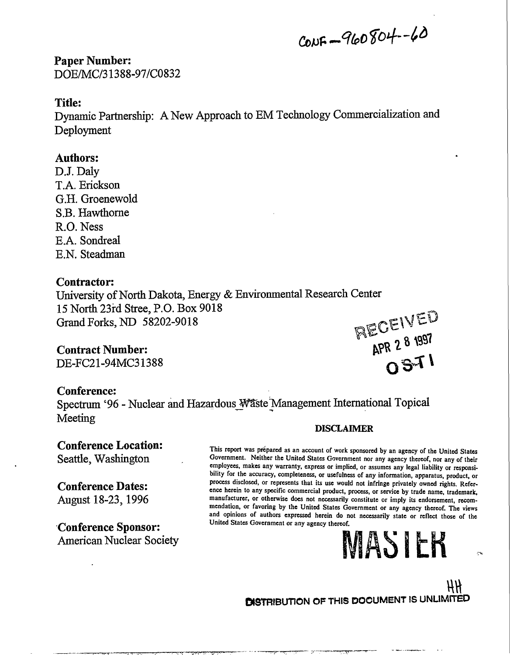$C_{0}NF - 960804 - 60$ 

**Paper Number:** DOE/MC/31388-97/C0832

# **Title:**

Dynamic Partnership: A New Approach to EM Technology Commercialization and Deployment

# **Authors:**

DJ. Daly T.A. Erickson G.H. Groenewold S.B. Hawthorne R.O. Ness E.A. Sondreal E.N. Steadman

# **Contractor:**

University of North Dakota, Energy & Environmental Research Center 15 North 23rd Stree, P.O. Box 9018 Grand Forks, ND 58202-9018<br>
Contract Number: 6001.000 58202-9018

# **Contract Number:**

DE-FC21-94MC31388

# **Conference:**

Spectrum '96 - Nuclear and Hazardous Waste Management International Topical Meeting

# **Conference Location:** Seattle, Washington

# **Conference Dates:**

August 18-23,1996

**Conference Sponsor:** American Nuclear Society

### **DISCLAIMER**

This report was prépared as an account of work sponsored by an agency of the United States **Government. Neither the United States Government nor any agency thereof, nor any of their employees, makes any warranty, express or implied, or assumes any legal liability or responsibility for the accuracy, completeness, or usefulness of any information, apparatus, product, or process disclosed, or represents that its use would not infringe privately owned rights. Reference herein to any specific commercial product, process, or service by trade name, trademark, manufacturer, or otherwise docs not necessarily constitute or imply its endorsement, recommendation, or favoring by the United States Government or any agency thereof. The views and opinions of authors expressed herein do not necessarily state or reflect those of the United States Government or any agency thereof.**

# MASIER

**NECTION** 

*m* **DISTRIBUTION OF THIS DOCUMENT IS UNLIMITED**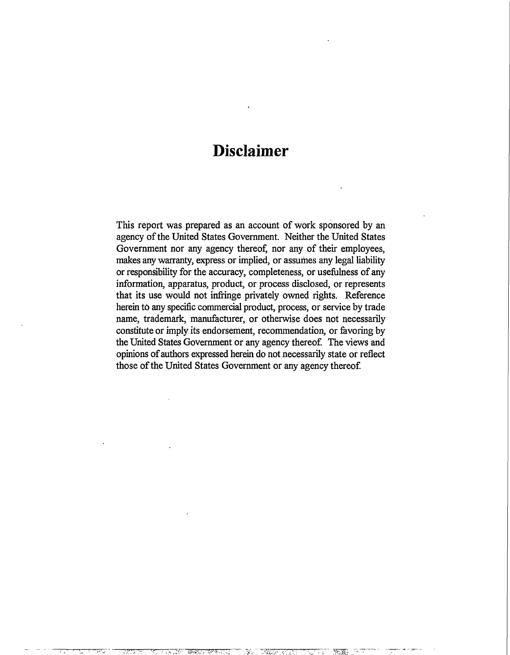# **Disclaimer**

This report was prepared as an account of work sponsored by an agency of the United States Government. Neither the United States Government nor any agency thereof, nor any of their employees, makes any warranty, express or implied, or assumes any legal liability or responsibility for the accuracy, completeness, or usefulness of any information, apparatus, product, or process disclosed, or represents that its use would not infringe privately owned rights. Reference herein to any specific commercial product, process, or service by trade name, trademark, manufacturer, or otherwise does not necessarily constitute or imply its endorsement, recommendation, or favoring by the United States Government or any agency thereof. The views and opinions of authors expressed herein do not necessarily state or reflect those of the United States Government or any agency thereof.

**ifrti,:, vr\*.-<...L**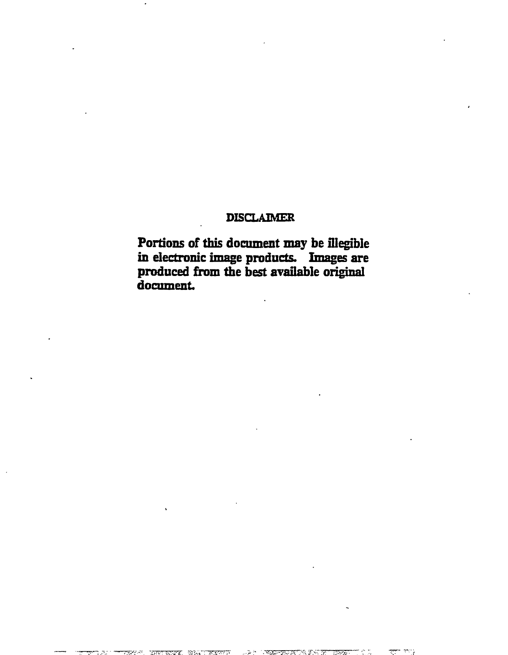# **DISCLAIMER**

**Portions of this document may be illegible in electronic image products. Images are produced from tbe best available original** document.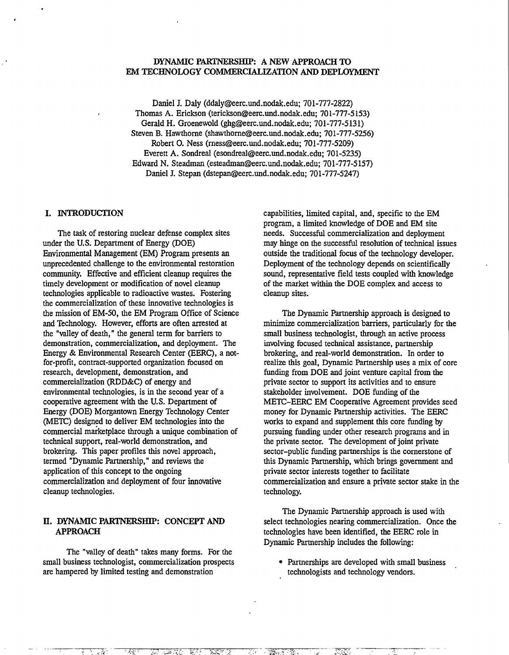#### **DYNAMIC PARTNERSHIP: A NEW APPROACH TO EM TECHNOLOGY COMMERCIALIZATION AND DEPLOYMENT**

Daniel J. Daly (ddaly@eerc.und.nodak.edu; 701-777-2822) Thomas A. Erickson (terickson@eerc.und.nodak.edu; 701-777-5153) Gerald H. Groenewold (ghg@eerc.und.nodak.edu; 701-777-5131) Steven B. Hawthorne (shawthorne@eerc.und.nodak.edu; 701-777-5256) Robert O. Ness (rness@eerc.und.nodak.edu; 701-777-5209) Everett A. Sondreal (esondreal@eerc.und.nodak.edu; 701-5235) Edward N. Steadman (esteadman@eerc.und.nodak.edu; 701-777-5157) Daniel J. Stepan (dstepan@eerc.und.nodak.edu; 701-777-5247)

#### **I. INTRODUCTION**

The task of restoring nuclear defense complex sites under the U.S. Department of Energy (DOE) Environmental Management (EM) Program presents an unprecedented challenge to the environmental restoration community. Effective and efficient cleanup requires the timely development or modification of novel cleanup technologies applicable to radioactive wastes. Fostering the commercialization of these innovative technologies is the mission of EM-50, the EM Program Office of Science and Technology. However, efforts are often arrested at the "valley of death," the general term for barriers to demonstration, commercialization, and deployment. The Energy & Environmental Research Center (EERC), a notfor-profit, contract-supported organization focused on research, development, demonstration, and commercialization (RDD&C) of energy and environmental technologies, is in the second year of a cooperative agreement with the U.S. Department of Energy (DOE) Morgantown Energy Technology Center (METC) designed to deliver EM technologies into die commercial marketplace through a unique combination of technical support, real-world demonstration, and brokering. This paper profiles this novel approach, termed "Dynamic Partnership," and reviews the application of this concept to the ongoing commercialization and deployment of four innovative cleanup technologies.

#### **H. DYNAMIC PARTNERSHIP: CONCEPT AND APPROACH**

The "valley of deadi" takes many forms. For the small business technologist, commercialization prospects are hampered by limited testing and demonstration

**- t-S.-**

capabilities, limited capital, and, specific to the EM program, a limited knowledge of DOE and EM site needs. Successful commercialization and deployment may hinge on the successful resolution of technical issues outside the traditional focus of the technology developer. Deployment of the technology depends on scientifically sound, representative field tests coupled with knowledge of the market within the DOE complex and access to cleanup sites.

The Dynamic Partnership approach is designed to minimize commercialization barriers, particularly for the small business technologist, through an active process involving focused technical assistance, partnership brokering, and real-world demonstration. In order to realize this goal, Dynamic Partnership uses a mix of core funding from DOE and joint venture capital from the private sector to support its activities and to ensure stakeholder involvement. DOE funding of the METC-EERC EM Cooperative Agreement provides seed money for Dynamic Partnership activities. The EERC works to expand and supplement this core funding by pursuing funding under other research programs and in the private sector. The development of joint private sector-public funding partnerships is the cornerstone of this Dynamic Partnership, which brings government and private sector interests together to facilitate commercialization and ensure a private sector stake in the technology.

The Dynamic Partnership approach is used with select technologies nearing commercialization. Once the technologies have been identified, the EERC role in Dynamic Partnership includes the following:

• Partnerships are developed with small business technologists and technology vendors.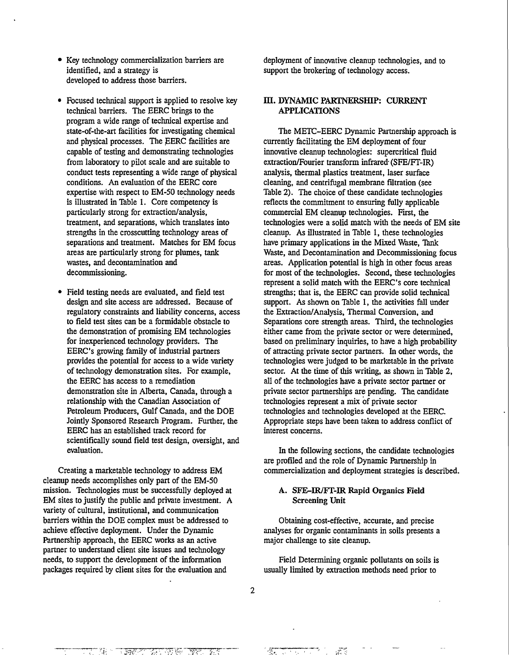- Key technology commercialization barriers are identified, and a strategy is developed to address those barriers.
- Focused technical support is applied to resolve key technical barriers. The EERC brings to the program a wide range of technical expertise and state-of-the-art facilities for investigating chemical and physical processes. The EERC facilities are capable of testing and demonstrating technologies from laboratory to pilot scale and are suitable to conduct tests representing a wide range of physical conditions. An evaluation of the EERC core expertise with respect to EM-50 technology needs is illustrated in Table 1. Core competency is particularly strong for extraction/analysis, treatment, and separations, which translates into strengths in the crosscutting technology areas of separations and treatment. Matches for EM focus areas are particularly strong for plumes, tank wastes, and decontamination and decommissioning.
- Field testing needs are evaluated, and field test design and site access are addressed. Because of regulatory constraints and liability concerns, access to field test sites can be a formidable obstacle to the demonstration of promising EM technologies for inexperienced technology providers. The EERC's growing family of industrial partners provides the potential for access to a wide variety of technology demonstration sites. For example, the EERC has access to a remediation demonstration site in Alberta, Canada, through a relationship with the Canadian Association of Petroleum Producers, Gulf Canada, and the DOE Jointly Sponsored Research Program. Further, the EERC has an established track record for scientifically sound field test design, oversight, and evaluation.

Creating a marketable technology to address EM cleanup needs accomplishes only part of the EM-50 mission. Technologies must be successfully deployed at EM sites to justify the public and private investment. A variety of cultural, institutional, and communication barriers within the DOE complex must be addressed to achieve effective deployment. Under the Dynamic Partnership approach, the EERC works as an active partner to understand client site issues and technology needs, to support the development of the information packages required by client sites for the evaluation and

**" 7 7** *'••V, -*

deployment of innovative cleanup technologies, and to support the brokering of technology access.

#### **III. DYNAMIC PARTNERSHIP: CURRENT APPLICATIONS**

The METC-EERC Dynamic Partnership approach is currently facilitating the EM deployment of four innovative cleanup technologies: supercritical fluid extraction/Fourier transform infrared (SFE/FT-IR) analysis, thermal plastics treatment, laser surface cleaning, and centrifugal membrane filtration (see Table 2). The choice of these candidate technologies reflects the commitment to ensuring fully applicable commercial EM cleanup technologies. First, the technologies were a solid match with the needs of EM site cleanup. As illustrated in Table 1, these technologies have primary applications in the Mixed Waste. Tank Waste, and Decontamination and Decommissioning focus areas. Application potential is high in other focus areas for most of the technologies. Second, these technologies represent a solid match with the EERC's core technical strengths; that is, the EERC can provide solid technical support. As shown on Table 1, the activities fall under the Extraction/Analysis, Thermal Conversion, and Separations core strength areas. Third, the technologies either came from the private sector or were determined, based on preliminary inquiries, to have a high probability of attracting private sector partners. In other words, the technologies were judged to be marketable in the private sector. At the time of this writing, as shown in Table 2, all of the technologies have a private sector partner or private sector partnerships are pending. The candidate technologies represent a mix of private sector technologies and technologies developed at the EERC. Appropriate steps have been taken to address conflict of interest concerns.

In the following sections, the candidate technologies are profiled and the role of Dynamic Partnership in commercialization and deployment strategies is described.

#### **A. SFE-IR/FT-IR Rapid Organics Field Screening Unit**

Obtaining cost-effective, accurate, and precise analyses for organic contaminants in soils presents a major challenge to site cleanup.

Field Determining organic pollutants on soils is usually limited by extraction methods need prior to

 $\overline{2}$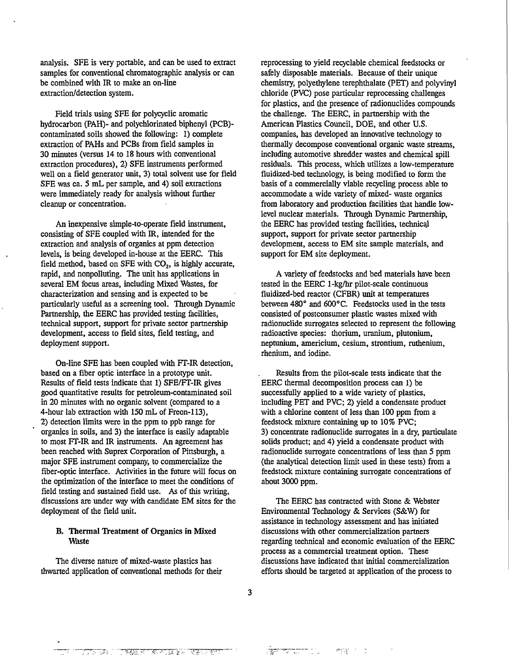analysis. SFE is very portable, and can be used to extract samples for conventional chromatographic analysis or can be combined with IR to make an on-line extraction/detection system.

Field trials using SFE for polycyclic aromatic hydrocarbon (PAH)- and polychlorinated biphenyl (PCB) contaminated soils showed the following: 1) complete extraction of PAHs and PCBs from field samples in 30 minutes (versus 14 to 18 hours with conventional extraction procedures), 2) SFE instruments performed well on a field generator unit, 3) total solvent use for field SFE was ca. 5 mL per sample, and 4) soil extractions were immediately ready for analysis without further cleanup or concentration.

An inexpensive simple-to-operate field instrument, consisting of SFE coupled with IR, intended for the extraction and analysis of organics at ppm detection levels, is being developed in-house at the EERC. This field method, based on SFE with  $CO<sub>2</sub>$ , is highly accurate, rapid, and nonpolluting. The unit has applications in several EM focus areas, including Mixed Wastes, for characterization and sensing and is expected to be particularly useful as a screening tool. Through Dynamic Partnership, the EERC has provided testing facilities, technical support, support for private sector partnership development, access to field sites, field testing, and deployment support.

On-line SFE has been coupled with FT-IR detection, based on a fiber optic interface in a prototype unit. Results of field tests indicate that 1) SFE/FT-IR gives good quantitative results for petroleum-contaminated soil in 20 minutes with no organic solvent (compared to a 4-hour lab extraction with 150 mL of Freon-113), 2) detection limits were in the ppm to ppb range for organics in soils, and 3) the interface is easily adaptable to most FT-IR and IR instruments. An agreement has been reached with Suprex Corporation of Pittsburgh, a major SFE instrument company, to commercialize the fiber-optic interface. Activities in the future will focus on the optimization of the interface to meet the conditions of field testing and sustained field use. As of this writing, discussions are under way with candidate EM sites for the deployment of the field unit.

#### B. Thermal Treatment of Organics in Mixed **Waste**

The diverse nature of mixed-waste plastics has thwarted application of conventional methods for their

أتواكو

reprocessing to yield recyclable chemical feedstocks or safely disposable materials. Because of their unique chemistry, polyethylene terephthalate (PET) and polyvinyl chloride (PVC) pose particular reprocessing challenges for plastics, and the presence of radionuclides compounds the challenge. The EERC, in partnership with the American Plastics Council, DOE, and other U.S. companies, has developed an innovative technology to thermally decompose conventional organic waste streams, including automotive shredder wastes and chemical spill residuals. This process, which utilizes a low-temperature fluidized-bed technology, is being modified to form the basis of a commercially viable recycling process able to accommodate a wide variety of mixed- waste organics from laboratory and production facilities that handle lowlevel nuclear materials. Through Dynamic Partnership, the EERC has provided testing facilities, technical support, support for private sector partnership development, access to EM site sample materials, and support for EM site deployment.

A variety of feedstocks and bed materials have been tested in the EERC 1-kg/hr pilot-scale continuous fluidized-bed reactor (CFBR) unit at temperatures between 480° and 600°C. Feedstocks used in the tests consisted of postconsumer plastic wastes mixed with radionuclide surrogates selected to represent the following radioactive species: thorium, uranium, plutonium, neptunium, americium, cesium, strontium, ruthenium, rhenium, and iodine.

Results from the pilot-scale tests indicate that the EERC thermal decomposition process can 1) be successfully applied to a wide variety of plastics, including PET and PVC; 2) yield a condensate product with a chlorine content of less than 100 ppm from a feedstock mixture containing up to 10% PVC; 3) concentrate radionuclide surrogates in a dry, particulate solids product; and 4) yield a condensate product with radionuclide surrogate concentrations of less than 5 ppm (the analytical detection limit used in these tests) from a feedstock mixture containing surrogate concentrations of about 3000 ppm.

The EERC has contracted with Stone & Webster Environmental Technology & Services (S&W) for assistance in technology assessment and has initiated discussions with other commercialization partners regarding technical and economic evaluation of the EERC process as a commercial treatment option. These discussions have indicated that initial commercialization efforts should be targeted at application of the process to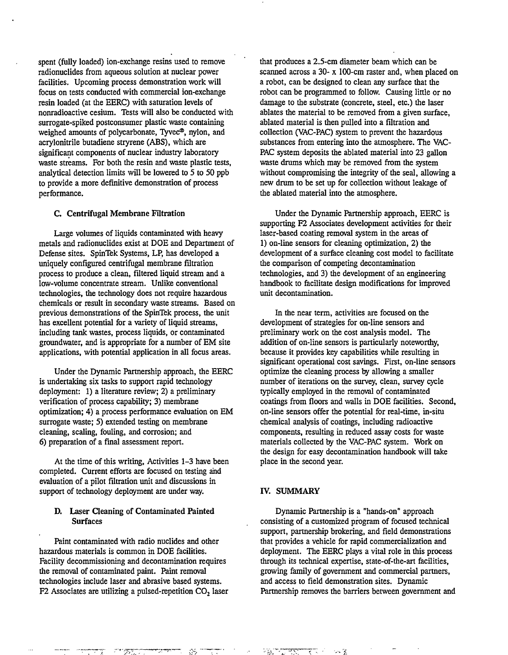spent (fully loaded) ion-exchange resins used to remove radionuclides from aqueous solution at nuclear power facilities. Upcoming process demonstration work will focus on tests conducted with commercial ion-exchange resin loaded (at the EERC) with saturation levels of nonradioactive cesium. Tests will also be conducted with surrogate-spiked postconsumer plastic waste containing weighed amounts of polycarbonate, Tyvec®, nylon, and acrylonitrile butadiene stryrene (ABS), which are significant components of nuclear industry laboratory waste streams. For both the resin and waste plastic tests, analytical detection limits will be lowered to 5 to 50 ppb to provide a more definitive demonstration of process performance.

#### C. Centrifugal Membrane Filtration

Large volumes of liquids contaminated with heavy metals and radionuclides exist at DOE and Department of Defense sites. SpinTek Systems, LP, has developed a uniquely configured centrifugal membrane filtration process to produce a clean, filtered liquid stream and a low-volume concentrate stream. Unlike conventional technologies, the technology does not require hazardous chemicals or result in secondary waste streams. Based on previous demonstrations of the SpinTek process, the unit has excellent potential for a variety of liquid streams, including tank wastes, process liquids, or contaminated groundwater, and is appropriate for a number of EM site applications, with potential application in all focus areas.

Under the Dynamic Partnership approach, the EERC is undertaking six tasks to support rapid technology deployment: 1) a literature review; 2) a preliminary verification of process capability; 3) membrane optimization; 4) a process performance evaluation on EM surrogate waste; 5) extended testing on membrane cleaning, scaling, fouling, and corrosion; and 6) preparation of a final assessment report.

At the time of this writing, Activities 1-3 have been completed. Current efforts are focused on testing and evaluation of a pilot filtration unit and discussions in support of technology deployment are under way.

#### D. Laser Cleaning of Contaminated Painted Surfaces

Paint contaminated with radio nuclides and other hazardous materials is common in DOE facilities. Facility decommissioning and decontamination requires the removal of contaminated paint. Paint removal technologies include laser and abrasive based systems. F2 Associates are utilizing a pulsed-repetition  $CO<sub>2</sub>$  laser that produces a 2.5-cm diameter beam which can be scanned across a 30- x 100-cm raster and, when placed on a robot, can be designed to clean any surface that the robot can be programmed to follow. Causing little or no damage to the substrate (concrete, steel, etc.) the laser ablates the material to be removed from a given surface, ablated material is then pulled into a filtration and collection (VAC-PAC) system to prevent the hazardous substances from entering into the atmosphere. The VAC-PAC system deposits the ablated material into 23 gallon waste drums which may be removed from the system without compromising the integrity of the seal, allowing a new drum to be set up for collection without leakage of the ablated material into the atmosphere.

Under the Dynamic Partnership approach, EERC is supporting F2 Associates development activities for their laser-based coating removal system in the areas of 1) on-line sensors for cleaning optimization, 2) the development of a surface cleaning cost model to facilitate the comparison of competing decontamination technologies, and 3) the development of an engineering handbook to facilitate design modifications for improved unit decontamination.

In the near term, activities are focused on the development of strategies for on-line sensors and preliminary work on the cost analysis model. The addition of on-line sensors is particularly noteworthy, because it provides key capabilities while resulting in significant operational cost savings. First, on-line sensors optimize the cleaning process by allowing a smaller number of iterations on the survey, clean, survey cycle typically employed in the removal of contaminated coatings from floors and walls in DOE facilities. Second, on-line sensors offer the potential for real-time, in-situ chemical analysis of coatings, including radioactive components, resulting in reduced assay costs for waste materials collected by the VAC-PAC system. Work on the design for easy decontamination handbook will take place in the second year.

#### IV. SUMMARY

Dynamic Partnership is a "hands-on" approach consisting of a customized program of focused technical support, partnership brokering, and field demonstrations that provides a vehicle for rapid commercialization and deployment. The EERC plays a vital role in this process through its technical expertise, state-of-the-art facilities, growing family of government and commercial partners, and access to field demonstration sites. Dynamic Partnership removes the barriers between government and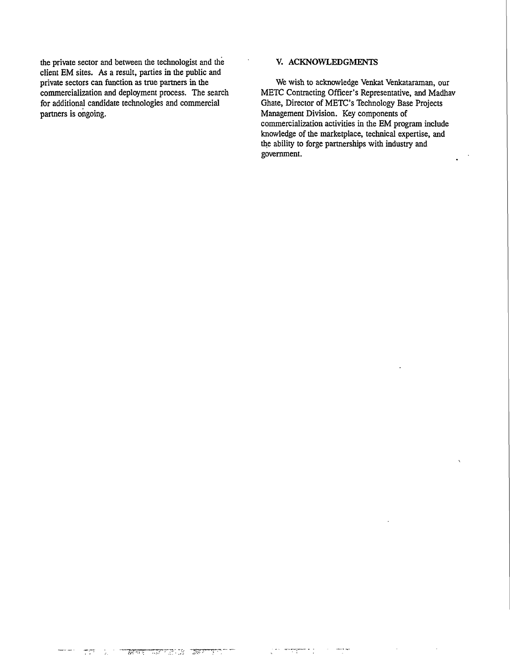the private sector and between the technologist and the V. ACKNOWLEDGMENTS client EM sites. As a result, parties in the public and<br>private sectors can function as true partners in the for additional candidate technologies and commercial Ghate, Director of METC's Technology Base Projects partners is ongoing.<br>
Management Division. Key components of

We wish to acknowledge Venkat Venkataraman, our commercialization and deployment process. The search METC Contracting Officer's Representative, and Madhav for additional candidate technologies and commercial Ghate, Director of METC's Technology Base Projects Management Division. Key components of commercialization activities in the EM program include knowledge of the marketplace, technical expertise, and the ability to forge partnerships with industry and government.